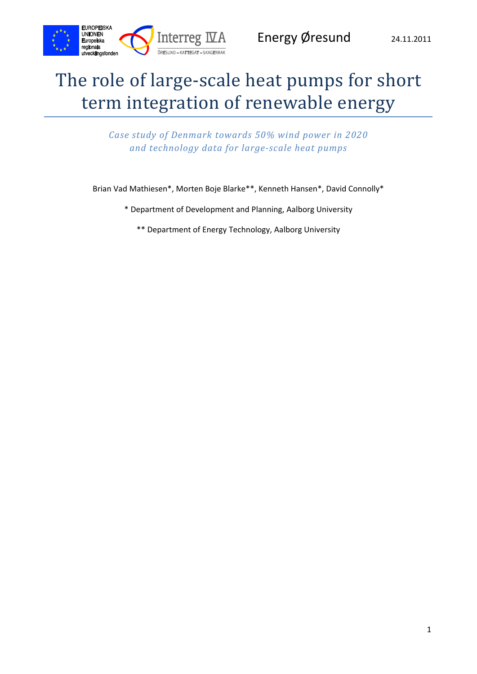

# The role of large-scale heat pumps for short term integration of renewable energy

*Case study of Denmark towards 50% wind power in 2020 and technology data for large‐scale heat pumps*

Brian Vad Mathiesen\*, Morten Boje Blarke\*\*, Kenneth Hansen\*, David Connolly\*

- \* Department of Development and Planning, Aalborg University
	- \*\* Department of Energy Technology, Aalborg University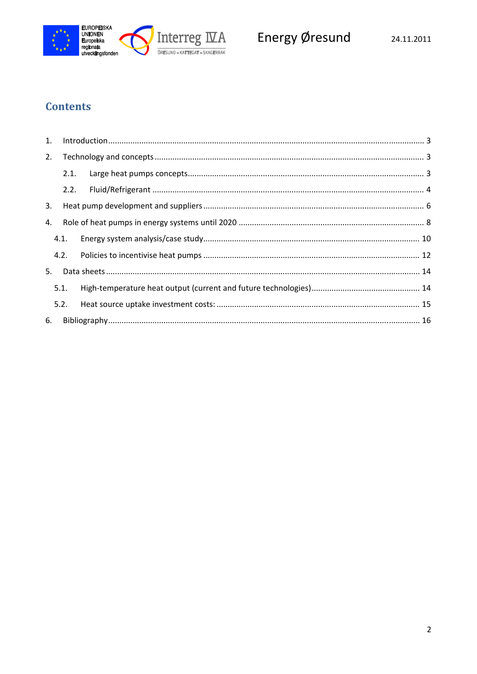

# **Contents**

| 2. |      |  |
|----|------|--|
|    | 2.1. |  |
|    | 2.2. |  |
| 3. |      |  |
| 4. |      |  |
|    | 4.1. |  |
|    | 4.2. |  |
| 5. |      |  |
|    | 5.1. |  |
|    | 5.2. |  |
| 6. |      |  |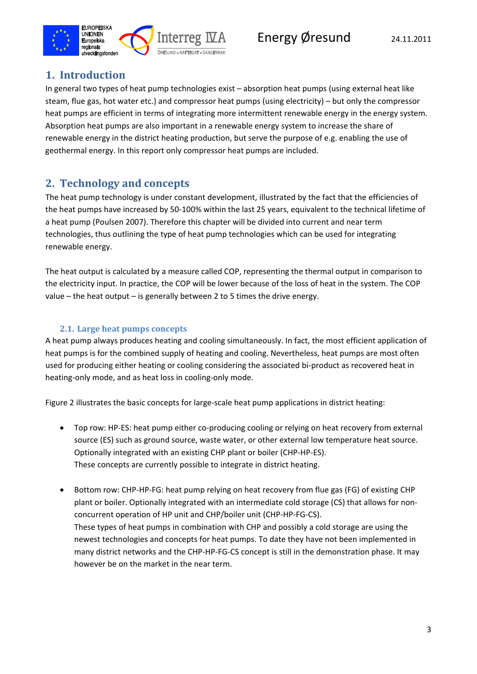

### 1. **Introduction**

In general two types of heat pump technologies exist – absorption heat pumps (using external heat like steam, flue gas, hot water etc.) and compressor heat pumps (using electricity) – but only the compressor heat pumps are efficient in terms of integrating more intermittent renewable energy in the energy system. Absorption heat pumps are also important in a renewable energy system to increase the share of renewable energy in the district heating production, but serve the purpose of e.g. enabling the use of geothermal energy. In this report only compressor heat pumps are included.

### **2. Technology** and **concepts**

The heat pump technology is under constant development, illustrated by the fact that the efficiencies of the heat pumps have increased by 50‐100% within the last 25 years, equivalent to the technical lifetime of a heat pump (Poulsen 2007). Therefore this chapter will be divided into current and near term technologies, thus outlining the type of heat pump technologies which can be used for integrating renewable energy.

The heat output is calculated by a measure called COP, representing the thermal output in comparison to the electricity input. In practice, the COP will be lower because of the loss of heat in the system. The COP value – the heat output – is generally between 2 to 5 times the drive energy.

### **2.1. Large heat pumps concepts**

A heat pump always produces heating and cooling simultaneously. In fact, the most efficient application of heat pumps is for the combined supply of heating and cooling. Nevertheless, heat pumps are most often used for producing either heating or cooling considering the associated bi-product as recovered heat in heating‐only mode, and as heat loss in cooling‐only mode.

Figure 2 illustrates the basic concepts for large-scale heat pump applications in district heating:

- Top row: HP-ES: heat pump either co-producing cooling or relying on heat recovery from external source (ES) such as ground source, waste water, or other external low temperature heat source. Optionally integrated with an existing CHP plant or boiler (CHP‐HP‐ES). These concepts are currently possible to integrate in district heating.
- Bottom row: CHP-HP-FG: heat pump relying on heat recovery from flue gas (FG) of existing CHP plant or boiler. Optionally integrated with an intermediate cold storage (CS) that allows for non‐ concurrent operation of HP unit and CHP/boiler unit (CHP‐HP‐FG‐CS). These types of heat pumps in combination with CHP and possibly a cold storage are using the newest technologies and concepts for heat pumps. To date they have not been implemented in many district networks and the CHP-HP-FG-CS concept is still in the demonstration phase. It may however be on the market in the near term.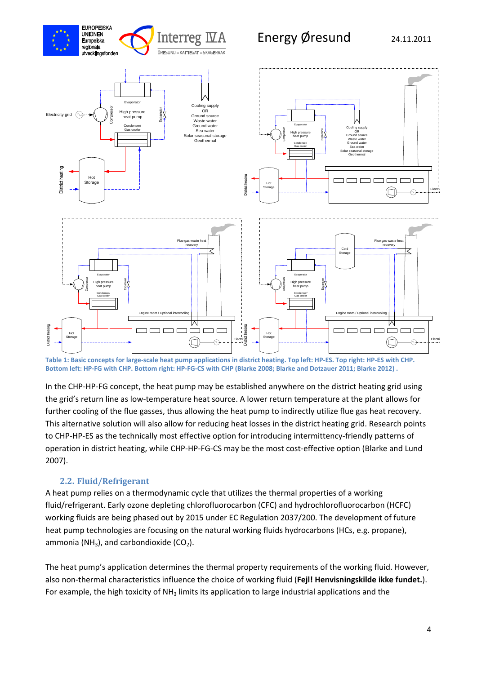



Table 1: Basic concepts for large-scale heat pump applications in district heating. Top left: HP-ES. Top right: HP-ES with CHP. Bottom left: HP-FG with CHP. Bottom right: HP-FG-CS with CHP (Blarke 2008: Blarke and Dotzauer 2011: Blarke 2012).

In the CHP-HP-FG concept, the heat pump may be established anywhere on the district heating grid using the grid's return line as low-temperature heat source. A lower return temperature at the plant allows for further cooling of the flue gasses, thus allowing the heat pump to indirectly utilize flue gas heat recovery. This alternative solution will also allow for reducing heat losses in the district heating grid. Research points to CHP-HP-ES as the technically most effective option for introducing intermittency-friendly patterns of operation in district heating, while CHP‐HP‐FG‐CS may be the most cost‐effective option (Blarke and Lund 2007).

#### **2.2. Fluid/Refrigerant**

A heat pump relies on a thermodynamic cycle that utilizes the thermal properties of a working fluid/refrigerant. Early ozone depleting chlorofluorocarbon (CFC) and hydrochlorofluorocarbon (HCFC) working fluids are being phased out by 2015 under EC Regulation 2037/200. The development of future heat pump technologies are focusing on the natural working fluids hydrocarbons (HCs, e.g. propane), ammonia (NH<sub>3</sub>), and carbondioxide (CO<sub>2</sub>).

The heat pump's application determines the thermal property requirements of the working fluid. However, also non‐thermal characteristics influence the choice of working fluid (**Fejl! Henvisningskilde ikke fundet.**). For example, the high toxicity of NH<sub>3</sub> limits its application to large industrial applications and the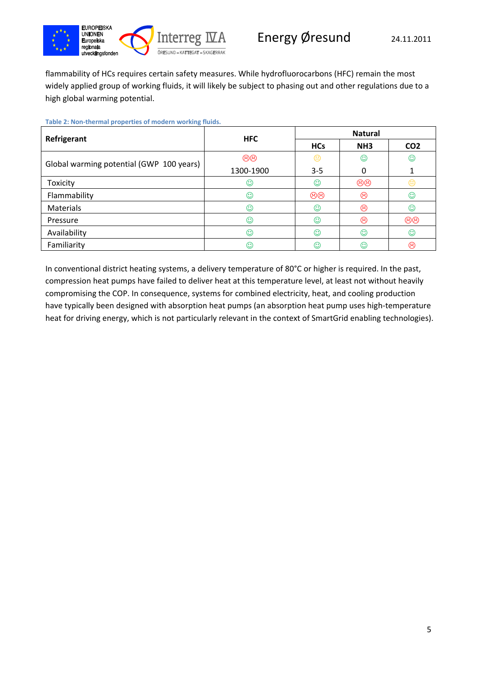

flammability of HCs requires certain safety measures. While hydrofluorocarbons (HFC) remain the most widely applied group of working fluids, it will likely be subject to phasing out and other regulations due to a high global warming potential.

**Table 2: Non‐thermal properties of modern working fluids.**

| Refrigerant                              | <b>HFC</b> | <b>Natural</b> |                      |                 |
|------------------------------------------|------------|----------------|----------------------|-----------------|
|                                          |            | <b>HCs</b>     | NH <sub>3</sub>      | CO <sub>2</sub> |
| Global warming potential (GWP 100 years) | මම         | ⊕              | $_{\mathord{\odot}}$ | ☺               |
|                                          | 1300-1900  | $3 - 5$        | 0                    |                 |
| Toxicity                                 | ☺          | ☺              | 88                   | ⇔               |
| Flammability                             | ☺          | 66             | ణ                    | ☺               |
| Materials                                | ☺          | ☺              | ☺                    | $\odot$         |
| Pressure                                 | ☺          | ☺              | ☺                    | 88              |
| Availability                             | ☺          | ☺              | ☺                    | $\odot$         |
| Familiarity                              | ☺          | ☺              | ⊙                    | ☺               |

In conventional district heating systems, a delivery temperature of 80°C or higher is required. In the past, compression heat pumps have failed to deliver heat at this temperature level, at least not without heavily compromising the COP. In consequence, systems for combined electricity, heat, and cooling production have typically been designed with absorption heat pumps (an absorption heat pump uses high‐temperature heat for driving energy, which is not particularly relevant in the context of SmartGrid enabling technologies).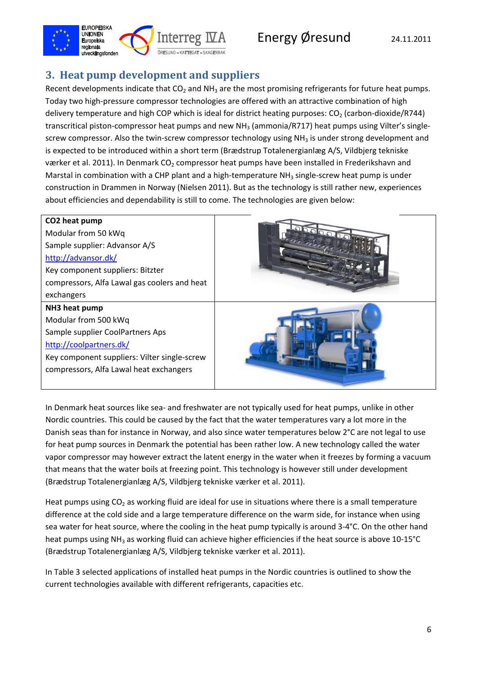

### **3. Heat pump development and suppliers**

Recent developments indicate that  $CO<sub>2</sub>$  and NH<sub>3</sub> are the most promising refrigerants for future heat pumps. Today two high-pressure compressor technologies are offered with an attractive combination of high delivery temperature and high COP which is ideal for district heating purposes:  $CO<sub>2</sub>$  (carbon-dioxide/R744) transcritical piston-compressor heat pumps and new NH<sub>3</sub> (ammonia/R717) heat pumps using Vilter's singlescrew compressor. Also the twin-screw compressor technology using NH<sub>3</sub> is under strong development and is expected to be introduced within a short term (Brædstrup Totalenergianlæg A/S, Vildbjerg tekniske værker et al. 2011). In Denmark CO<sub>2</sub> compressor heat pumps have been installed in Frederikshavn and Marstal in combination with a CHP plant and a high-temperature  $NH<sub>3</sub>$  single-screw heat pump is under construction in Drammen in Norway (Nielsen 2011). But as the technology is still rather new, experiences about efficiencies and dependability is still to come. The technologies are given below:



In Denmark heat sources like sea‐ and freshwater are not typically used for heat pumps, unlike in other Nordic countries. This could be caused by the fact that the water temperatures vary a lot more in the Danish seas than for instance in Norway, and also since water temperatures below 2°C are not legal to use for heat pump sources in Denmark the potential has been rather low. A new technology called the water vapor compressor may however extract the latent energy in the water when it freezes by forming a vacuum that means that the water boils at freezing point. This technology is however still under development (Brædstrup Totalenergianlæg A/S, Vildbjerg tekniske værker et al. 2011).

Heat pumps using  $CO<sub>2</sub>$  as working fluid are ideal for use in situations where there is a small temperature difference at the cold side and a large temperature difference on the warm side, for instance when using sea water for heat source, where the cooling in the heat pump typically is around 3-4°C. On the other hand heat pumps using NH<sub>3</sub> as working fluid can achieve higher efficiencies if the heat source is above 10-15°C (Brædstrup Totalenergianlæg A/S, Vildbjerg tekniske værker et al. 2011).

In Table 3 selected applications of installed heat pumps in the Nordic countries is outlined to show the current technologies available with different refrigerants, capacities etc.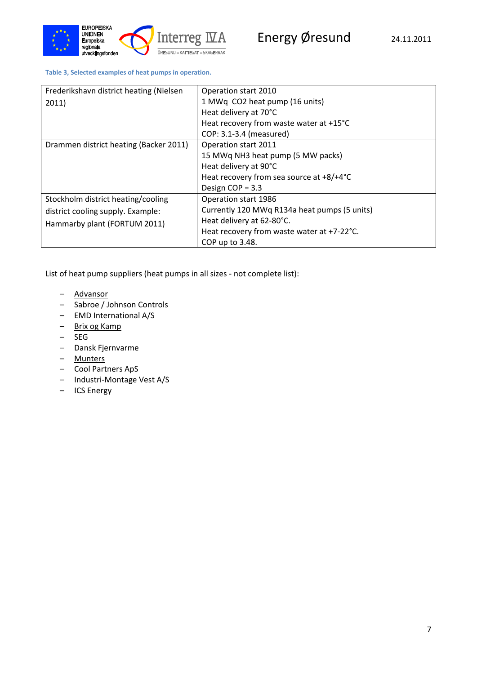

**Table 3, Selected examples of heat pumps in operation.**

| Frederikshavn district heating (Nielsen | Operation start 2010                         |
|-----------------------------------------|----------------------------------------------|
| 2011)                                   | 1 MWq CO2 heat pump (16 units)               |
|                                         | Heat delivery at 70°C                        |
|                                         | Heat recovery from waste water at +15°C      |
|                                         | COP: 3.1-3.4 (measured)                      |
| Drammen district heating (Backer 2011)  | Operation start 2011                         |
|                                         | 15 MWq NH3 heat pump (5 MW packs)            |
|                                         | Heat delivery at 90°C                        |
|                                         | Heat recovery from sea source at +8/+4°C     |
|                                         | Design $COP = 3.3$                           |
| Stockholm district heating/cooling      | Operation start 1986                         |
| district cooling supply. Example:       | Currently 120 MWq R134a heat pumps (5 units) |
| Hammarby plant (FORTUM 2011)            | Heat delivery at 62-80°C.                    |
|                                         | Heat recovery from waste water at +7-22°C.   |
|                                         | COP up to 3.48.                              |

List of heat pump suppliers (heat pumps in all sizes - not complete list):

- Advansor
- Sabroe / Johnson Controls
- EMD International A/S
- Brix og Kamp
- SEG
- Dansk Fjernvarme
- Munters
- Cool Partners ApS
- Industri‐Montage Vest A/S
- ICS Energy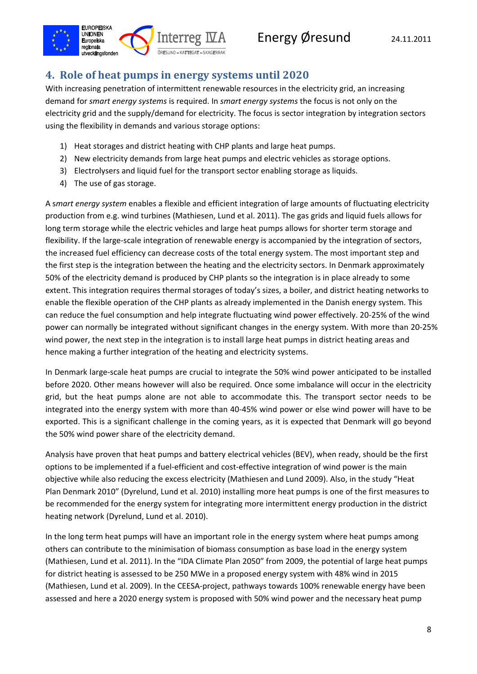

### **4. Role of heat pumps in energy systems until 2020**

With increasing penetration of intermittent renewable resources in the electricity grid, an increasing demand for *smart energy systems* is required. In *smart energy systems* the focus is not only on the electricity grid and the supply/demand for electricity. The focus is sector integration by integration sectors using the flexibility in demands and various storage options:

- 1) Heat storages and district heating with CHP plants and large heat pumps.
- 2) New electricity demands from large heat pumps and electric vehicles as storage options.
- 3) Electrolysers and liquid fuel for the transport sector enabling storage as liquids.
- 4) The use of gas storage.

A s*mart energy system* enables a flexible and efficient integration of large amounts of fluctuating electricity production from e.g. wind turbines (Mathiesen, Lund et al. 2011). The gas grids and liquid fuels allows for long term storage while the electric vehicles and large heat pumps allows for shorter term storage and flexibility. If the large-scale integration of renewable energy is accompanied by the integration of sectors, the increased fuel efficiency can decrease costs of the total energy system. The most important step and the first step is the integration between the heating and the electricity sectors. In Denmark approximately 50% of the electricity demand is produced by CHP plants so the integration is in place already to some extent. This integration requires thermal storages of today's sizes, a boiler, and district heating networks to enable the flexible operation of the CHP plants as already implemented in the Danish energy system. This can reduce the fuel consumption and help integrate fluctuating wind power effectively. 20‐25% of the wind power can normally be integrated without significant changes in the energy system. With more than 20‐25% wind power, the next step in the integration is to install large heat pumps in district heating areas and hence making a further integration of the heating and electricity systems.

In Denmark large‐scale heat pumps are crucial to integrate the 50% wind power anticipated to be installed before 2020. Other means however will also be required. Once some imbalance will occur in the electricity grid, but the heat pumps alone are not able to accommodate this. The transport sector needs to be integrated into the energy system with more than 40‐45% wind power or else wind power will have to be exported. This is a significant challenge in the coming years, as it is expected that Denmark will go beyond the 50% wind power share of the electricity demand.

Analysis have proven that heat pumps and battery electrical vehicles (BEV), when ready, should be the first options to be implemented if a fuel‐efficient and cost‐effective integration of wind power is the main objective while also reducing the excess electricity (Mathiesen and Lund 2009). Also, in the study "Heat Plan Denmark 2010" (Dyrelund, Lund et al. 2010) installing more heat pumps is one of the first measures to be recommended for the energy system for integrating more intermittent energy production in the district heating network (Dyrelund, Lund et al. 2010).

In the long term heat pumps will have an important role in the energy system where heat pumps among others can contribute to the minimisation of biomass consumption as base load in the energy system (Mathiesen, Lund et al. 2011). In the "IDA Climate Plan 2050" from 2009, the potential of large heat pumps for district heating is assessed to be 250 MWe in a proposed energy system with 48% wind in 2015 (Mathiesen, Lund et al. 2009). In the CEESA‐project, pathways towards 100% renewable energy have been assessed and here a 2020 energy system is proposed with 50% wind power and the necessary heat pump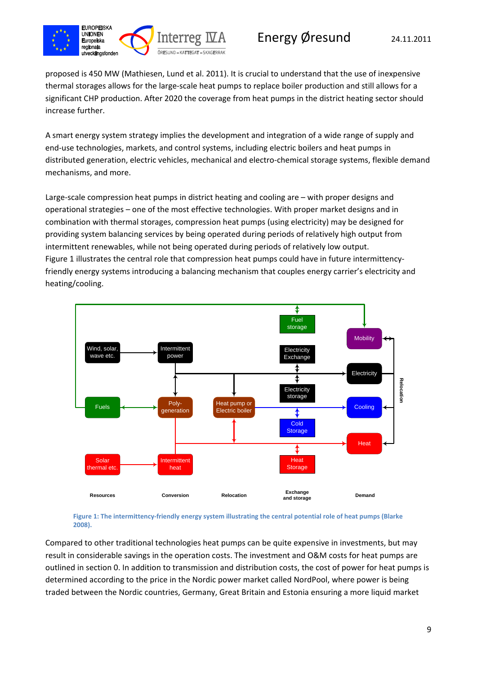

proposed is 450 MW (Mathiesen, Lund et al. 2011). It is crucial to understand that the use of inexpensive thermal storages allows for the large‐scale heat pumps to replace boiler production and still allows for a significant CHP production. After 2020 the coverage from heat pumps in the district heating sector should increase further.

A smart energy system strategy implies the development and integration of a wide range of supply and end‐use technologies, markets, and control systems, including electric boilers and heat pumps in distributed generation, electric vehicles, mechanical and electro-chemical storage systems, flexible demand mechanisms, and more.

Large-scale compression heat pumps in district heating and cooling are – with proper designs and operational strategies – one of the most effective technologies. With proper market designs and in combination with thermal storages, compression heat pumps (using electricity) may be designed for providing system balancing services by being operated during periods of relatively high output from intermittent renewables, while not being operated during periods of relatively low output. Figure 1 illustrates the central role that compression heat pumps could have in future intermittencyfriendly energy systems introducing a balancing mechanism that couples energy carrier's electricity and heating/cooling.



Figure 1: The intermittency-friendly energy system illustrating the central potential role of heat pumps (Blarke **2008).**

Compared to other traditional technologies heat pumps can be quite expensive in investments, but may result in considerable savings in the operation costs. The investment and O&M costs for heat pumps are outlined in section 0. In addition to transmission and distribution costs, the cost of power for heat pumps is determined according to the price in the Nordic power market called NordPool, where power is being traded between the Nordic countries, Germany, Great Britain and Estonia ensuring a more liquid market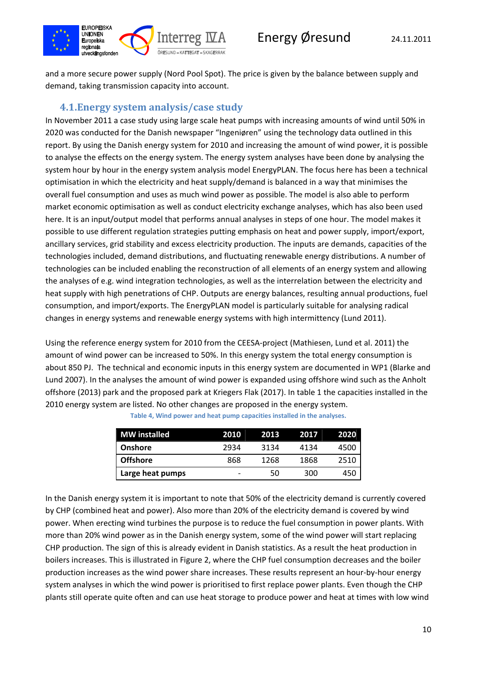

and a more secure power supply (Nord Pool Spot). The price is given by the balance between supply and demand, taking transmission capacity into account.

### **4.1.Energy system analysis/case study**

In November 2011 a case study using large scale heat pumps with increasing amounts of wind until 50% in 2020 was conducted for the Danish newspaper "Ingeniøren" using the technology data outlined in this report. By using the Danish energy system for 2010 and increasing the amount of wind power, it is possible to analyse the effects on the energy system. The energy system analyses have been done by analysing the system hour by hour in the energy system analysis model EnergyPLAN. The focus here has been a technical optimisation in which the electricity and heat supply/demand is balanced in a way that minimises the overall fuel consumption and uses as much wind power as possible. The model is also able to perform market economic optimisation as well as conduct electricity exchange analyses, which has also been used here. It is an input/output model that performs annual analyses in steps of one hour. The model makes it possible to use different regulation strategies putting emphasis on heat and power supply, import/export, ancillary services, grid stability and excess electricity production. The inputs are demands, capacities of the technologies included, demand distributions, and fluctuating renewable energy distributions. A number of technologies can be included enabling the reconstruction of all elements of an energy system and allowing the analyses of e.g. wind integration technologies, as well as the interrelation between the electricity and heat supply with high penetrations of CHP. Outputs are energy balances, resulting annual productions, fuel consumption, and import/exports. The EnergyPLAN model is particularly suitable for analysing radical changes in energy systems and renewable energy systems with high intermittency (Lund 2011).

Using the reference energy system for 2010 from the CEESA‐project (Mathiesen, Lund et al. 2011) the amount of wind power can be increased to 50%. In this energy system the total energy consumption is about 850 PJ. The technical and economic inputs in this energy system are documented in WP1 (Blarke and Lund 2007). In the analyses the amount of wind power is expanded using offshore wind such as the Anholt offshore (2013) park and the proposed park at Kriegers Flak (2017). In table 1 the capacities installed in the 2010 energy system are listed. No other changes are proposed in the energy system.

| <b>MW</b> installed | 2010                     | 2013 | 2017 | 2020 |
|---------------------|--------------------------|------|------|------|
| Onshore             | 2934                     | 3134 | 4134 | 4500 |
| <b>Offshore</b>     | 868                      | 1268 | 1868 | 2510 |
| Large heat pumps    | $\overline{\phantom{0}}$ | 50   | 300  | 450  |

**Table 4, Wind power and heat pump capacities installed in the analyses.**

In the Danish energy system it is important to note that 50% of the electricity demand is currently covered by CHP (combined heat and power). Also more than 20% of the electricity demand is covered by wind power. When erecting wind turbines the purpose is to reduce the fuel consumption in power plants. With more than 20% wind power as in the Danish energy system, some of the wind power will start replacing CHP production. The sign of this is already evident in Danish statistics. As a result the heat production in boilers increases. This is illustrated in Figure 2, where the CHP fuel consumption decreases and the boiler production increases as the wind power share increases. These results represent an hour‐by‐hour energy system analyses in which the wind power is prioritised to first replace power plants. Even though the CHP plants still operate quite often and can use heat storage to produce power and heat at times with low wind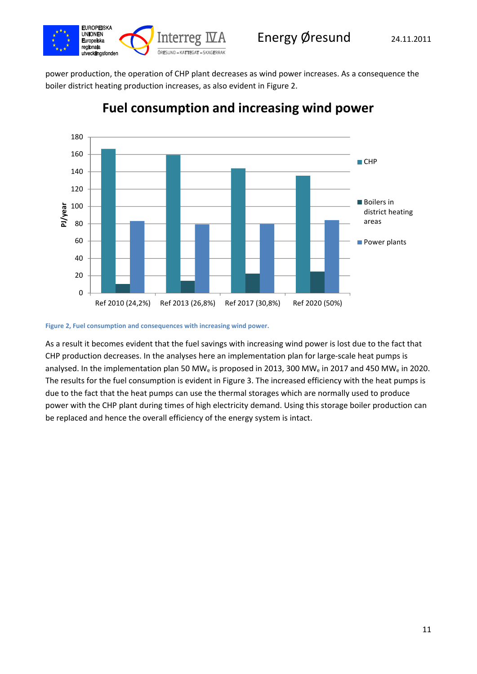



power production, the operation of CHP plant decreases as wind power increases. As a consequence the boiler district heating production increases, as also evident in Figure 2.



## **Fuel consumption and increasing wind power**

**Figure 2, Fuel consumption and consequences with increasing wind power.**

As a result it becomes evident that the fuel savings with increasing wind power is lost due to the fact that CHP production decreases. In the analyses here an implementation plan for large-scale heat pumps is analysed. In the implementation plan 50 MW<sub>e</sub> is proposed in 2013, 300 MW<sub>e</sub> in 2017 and 450 MW<sub>e</sub> in 2020. The results for the fuel consumption is evident in Figure 3. The increased efficiency with the heat pumps is due to the fact that the heat pumps can use the thermal storages which are normally used to produce power with the CHP plant during times of high electricity demand. Using this storage boiler production can be replaced and hence the overall efficiency of the energy system is intact.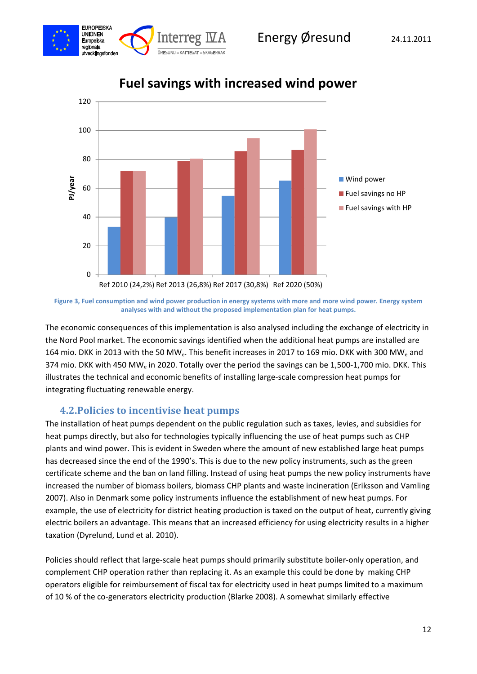



# **Fuel savings with increased wind power**

The economic consequences of this implementation is also analysed including the exchange of electricity in the Nord Pool market. The economic savings identified when the additional heat pumps are installed are 164 mio. DKK in 2013 with the 50 MW<sub>e</sub>. This benefit increases in 2017 to 169 mio. DKK with 300 MW<sub>e</sub> and 374 mio. DKK with 450 MW<sub>e</sub> in 2020. Totally over the period the savings can be 1,500-1,700 mio. DKK. This illustrates the technical and economic benefits of installing large‐scale compression heat pumps for integrating fluctuating renewable energy.

### **4.2.Policies to incentivise heat pumps**

The installation of heat pumps dependent on the public regulation such as taxes, levies, and subsidies for heat pumps directly, but also for technologies typically influencing the use of heat pumps such as CHP plants and wind power. This is evident in Sweden where the amount of new established large heat pumps has decreased since the end of the 1990's. This is due to the new policy instruments, such as the green certificate scheme and the ban on land filling. Instead of using heat pumps the new policy instruments have increased the number of biomass boilers, biomass CHP plants and waste incineration (Eriksson and Vamling 2007). Also in Denmark some policy instruments influence the establishment of new heat pumps. For example, the use of electricity for district heating production is taxed on the output of heat, currently giving electric boilers an advantage. This means that an increased efficiency for using electricity results in a higher taxation (Dyrelund, Lund et al. 2010).

Policies should reflect that large‐scale heat pumps should primarily substitute boiler‐only operation, and complement CHP operation rather than replacing it. As an example this could be done by making CHP operators eligible for reimbursement of fiscal tax for electricity used in heat pumps limited to a maximum of 10 % of the co‐generators electricity production (Blarke 2008). A somewhat similarly effective

Figure 3, Fuel consumption and wind power production in energy systems with more and more wind power. Energy system **analyses with and without the proposed implementation plan for heat pumps.**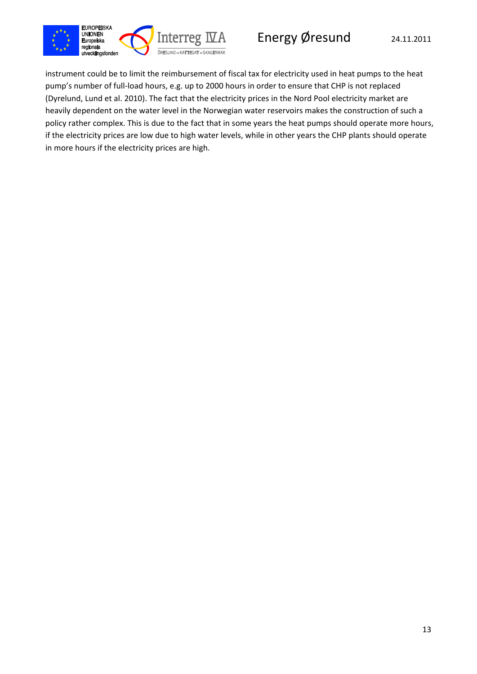

instrument could be to limit the reimbursement of fiscal tax for electricity used in heat pumps to the heat pump's number of full‐load hours, e.g. up to 2000 hours in order to ensure that CHP is not replaced (Dyrelund, Lund et al. 2010). The fact that the electricity prices in the Nord Pool electricity market are heavily dependent on the water level in the Norwegian water reservoirs makes the construction of such a policy rather complex. This is due to the fact that in some years the heat pumps should operate more hours, if the electricity prices are low due to high water levels, while in other years the CHP plants should operate in more hours if the electricity prices are high.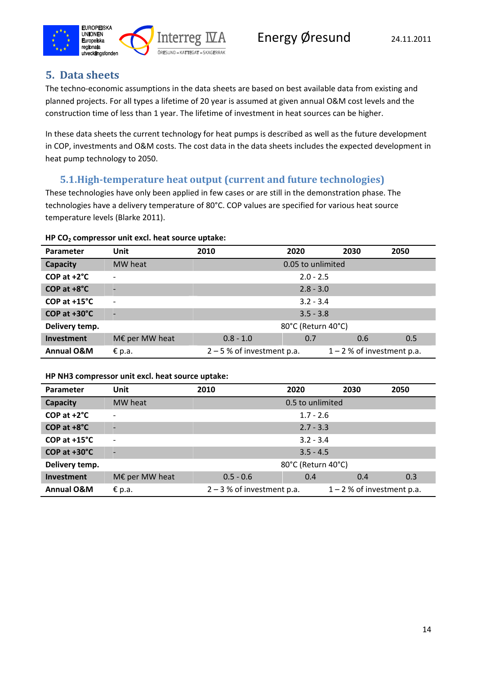

### **5. Data sheets**

The techno-economic assumptions in the data sheets are based on best available data from existing and planned projects. For all types a lifetime of 20 year is assumed at given annual O&M cost levels and the construction time of less than 1 year. The lifetime of investment in heat sources can be higher.

In these data sheets the current technology for heat pumps is described as well as the future development in COP, investments and O&M costs. The cost data in the data sheets includes the expected development in heat pump technology to 2050.

### **5.1.High‐temperature heat output (current and future technologies)**

These technologies have only been applied in few cases or are still in the demonstration phase. The technologies have a delivery temperature of 80°C. COP values are specified for various heat source temperature levels (Blarke 2011).

#### **HP CO2 compressor unit excl. heat source uptake:**

| <b>Parameter</b>        | <b>Unit</b>              | 2010                         | 2020               | 2030                         | 2050 |
|-------------------------|--------------------------|------------------------------|--------------------|------------------------------|------|
| Capacity                | MW heat                  |                              | 0.05 to unlimited  |                              |      |
| $COP$ at $+2^{\circ}C$  |                          |                              | $2.0 - 2.5$        |                              |      |
| $COP$ at $+8^{\circ}C$  |                          |                              | $2.8 - 3.0$        |                              |      |
| $COP$ at $+15^{\circ}C$ | $\overline{\phantom{0}}$ |                              | $3.2 - 3.4$        |                              |      |
| $COP$ at $+30^{\circ}C$ | <b>-</b>                 |                              | $3.5 - 3.8$        |                              |      |
| Delivery temp.          |                          |                              | 80°C (Return 40°C) |                              |      |
| Investment              | M€ per MW heat           | $0.8 - 1.0$                  | 0.7                | 0.6                          | 0.5  |
| <b>Annual O&amp;M</b>   | $\epsilon$ p.a.          | $2 - 5$ % of investment p.a. |                    | $1 - 2$ % of investment p.a. |      |

#### **HP NH3 compressor unit excl. heat source uptake:**

| Parameter               | Unit            | 2010                         | 2020               | 2030                         | 2050 |
|-------------------------|-----------------|------------------------------|--------------------|------------------------------|------|
| Capacity                | MW heat         |                              | 0.5 to unlimited   |                              |      |
| $COP$ at $+2^{\circ}C$  |                 |                              | $1.7 - 2.6$        |                              |      |
| $COP$ at $+8^{\circ}C$  | -               |                              | $2.7 - 3.3$        |                              |      |
| $COP$ at $+15^{\circ}C$ |                 |                              | $3.2 - 3.4$        |                              |      |
| COP at +30°C            | -               |                              | $3.5 - 4.5$        |                              |      |
| Delivery temp.          |                 |                              | 80°C (Return 40°C) |                              |      |
| Investment              | M€ per MW heat  | $0.5 - 0.6$                  | 0.4                | 0.4                          | 0.3  |
| <b>Annual O&amp;M</b>   | $\epsilon$ p.a. | $2 - 3$ % of investment p.a. |                    | $1 - 2$ % of investment p.a. |      |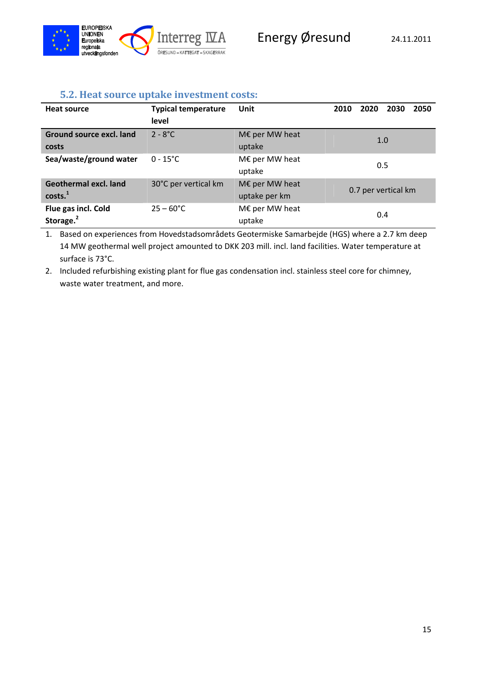

### **5.2. Heat source uptake investment costs:**

| <b>Heat source</b>                                 | <b>Typical temperature</b><br>level | Unit                            | 2050<br>2020<br>2010<br>2030 |
|----------------------------------------------------|-------------------------------------|---------------------------------|------------------------------|
| Ground source excl. land<br>costs                  | $2 - 8^{\circ}C$                    | M€ per MW heat<br>uptake        | 1.0                          |
| Sea/waste/ground water                             | $0 - 15^{\circ}C$                   | M€ per MW heat<br>uptake        | 0.5                          |
| <b>Geothermal excl. land</b><br>costs <sup>1</sup> | 30°C per vertical km                | M€ per MW heat<br>uptake per km | 0.7 per vertical km          |
| Flue gas incl. Cold<br>Storage. <sup>2</sup>       | $25 - 60^{\circ}$ C                 | M€ per MW heat<br>uptake        | 0.4                          |

1. Based on experiences from Hovedstadsområdets Geotermiske Samarbejde (HGS) where a 2.7 km deep 14 MW geothermal well project amounted to DKK 203 mill. incl. land facilities. Water temperature at surface is 73°C.

2. Included refurbishing existing plant for flue gas condensation incl. stainless steel core for chimney, waste water treatment, and more.